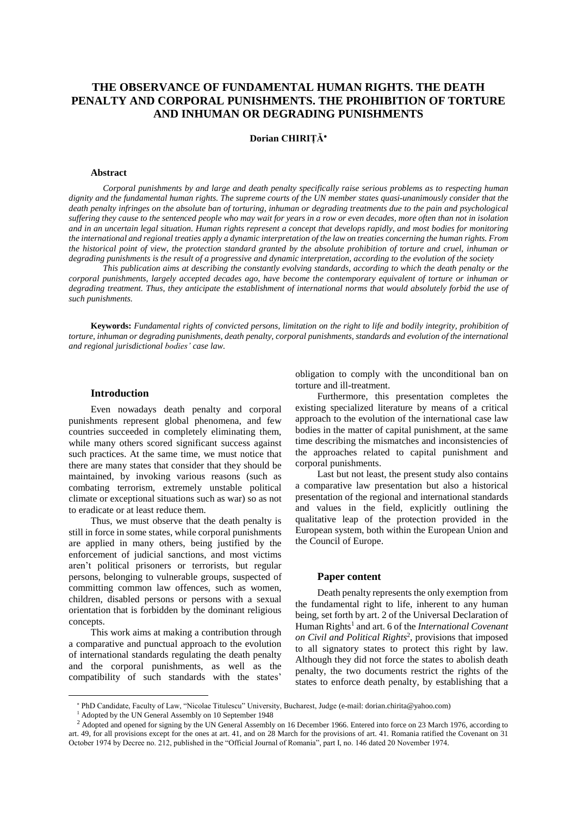# **THE OBSERVANCE OF FUNDAMENTAL HUMAN RIGHTS. THE DEATH PENALTY AND CORPORAL PUNISHMENTS. THE PROHIBITION OF TORTURE AND INHUMAN OR DEGRADING PUNISHMENTS**

**Dorian CHIRIȚĂ**

#### **Abstract**

*Corporal punishments by and large and death penalty specifically raise serious problems as to respecting human* dignity and the fundamental human rights. The supreme courts of the UN member states quasi-unanimously consider that the death penalty infringes on the absolute ban of torturing, inhuman or degrading treatments due to the pain and psychological suffering they cause to the sentenced people who may wait for years in a row or even decades, more often than not in isolation and in an uncertain legal situation. Human rights represent a concept that develops rapidly, and most bodies for monitoring the international and regional treaties apply a dynamic interpretation of the law on treaties concerning the human rights. From the historical point of view, the protection standard granted by the absolute prohibition of torture and cruel, inhuman or degrading punishments is the result of a progressive and dynamic interpretation, according to the evolution of the society

This publication aims at describing the constantly evolving standards, according to which the death penalty or the corporal punishments, largely accepted decades ago, have become the contemporary equivalent of torture or inhuman or degrading treatment. Thus, they anticipate the establishment of international norms that would absolutely forbid the use of *such punishments.*

**Keywords:** Fundamental rights of convicted persons, limitation on the right to life and bodily integrity, prohibition of torture, inhuman or degrading punishments, death penalty, corporal punishments, standards and evolution of the international *and regional jurisdictional bodies' case law.*

## **Introduction**

Even nowadays death penalty and corporal punishments represent global phenomena, and few countries succeeded in completely eliminating them, while many others scored significant success against such practices. At the same time, we must notice that there are many states that consider that they should be maintained, by invoking various reasons (such as combating terrorism, extremely unstable political climate or exceptional situations such as war) so as not to eradicate or at least reduce them.

Thus, we must observe that the death penalty is still in force in some states, while corporal punishments are applied in many others, being justified by the enforcement of judicial sanctions, and most victims aren't political prisoners or terrorists, but regular persons, belonging to vulnerable groups, suspected of committing common law offences, such as women, children, disabled persons or persons with a sexual orientation that is forbidden by the dominant religious concepts.

This work aims at making a contribution through a comparative and punctual approach to the evolution of international standards regulating the death penalty and the corporal punishments, as well as the compatibility of such standards with the states'

obligation to comply with the unconditional ban on torture and ill-treatment.

Furthermore, this presentation completes the existing specialized literature by means of a critical approach to the evolution of the international case law bodies in the matter of capital punishment, at the same time describing the mismatches and inconsistencies of the approaches related to capital punishment and corporal punishments.

Last but not least, the present study also contains a comparative law presentation but also a historical presentation of the regional and international standards and values in the field, explicitly outlining the qualitative leap of the protection provided in the European system, both within the European Union and the Council of Europe.

# **Paper content**

Death penalty represents the only exemption from the fundamental right to life, inherent to any human being, set forth by art. 2 of the Universal Declaration of Human Rights<sup>1</sup> and art. 6 of the *International Covenant on Civil and Political Rights*<sup>2</sup> , provisions that imposed to all signatory states to protect this right by law. Although they did not force the states to abolish death penalty, the two documents restrict the rights of the states to enforce death penalty, by establishing that a

PhD Candidate, Faculty of Law, "Nicolae Titulescu" University, Bucharest, Judge (e-mail: dorian.chirita@yahoo.com)

<sup>1</sup> Adopted by the UN General Assembly on 10 September 1948

<sup>&</sup>lt;sup>2</sup> Adopted and opened for signing by the UN General Assembly on 16 December 1966. Entered into force on 23 March 1976, according to art. 49, for all provisions except for the ones at art. 41, and on 28 March for the provisions of art. 41. Romania ratified the Covenant on 31 October 1974 by Decree no. 212, published in the "Official Journal of Romania", part I, no. 146 dated 20 November 1974*.*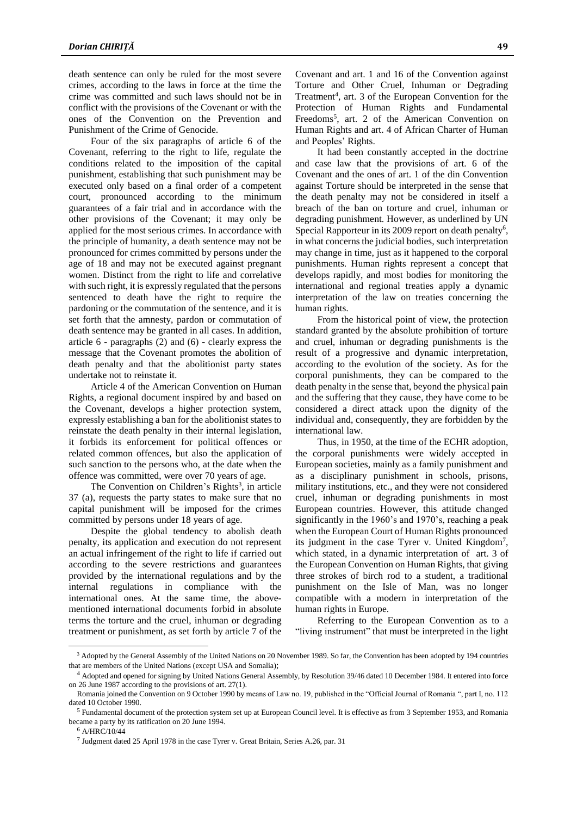death sentence can only be ruled for the most severe crimes, according to the laws in force at the time the crime was committed and such laws should not be in conflict with the provisions of the Covenant or with the ones of the Convention on the Prevention and Punishment of the Crime of Genocide.

Four of the six paragraphs of article 6 of the Covenant, referring to the right to life, regulate the conditions related to the imposition of the capital punishment, establishing that such punishment may be executed only based on a final order of a competent court, pronounced according to the minimum guarantees of a fair trial and in accordance with the other provisions of the Covenant; it may only be applied for the most serious crimes. In accordance with the principle of humanity, a death sentence may not be pronounced for crimes committed by persons under the age of 18 and may not be executed against pregnant women. Distinct from the right to life and correlative with such right, it is expressly regulated that the persons sentenced to death have the right to require the pardoning or the commutation of the sentence, and it is set forth that the amnesty, pardon or commutation of death sentence may be granted in all cases. In addition, article 6 - paragraphs (2) and (6) - clearly express the message that the Covenant promotes the abolition of death penalty and that the abolitionist party states undertake not to reinstate it.

Article 4 of the American Convention on Human Rights, a regional document inspired by and based on the Covenant, develops a higher protection system, expressly establishing a ban for the abolitionist states to reinstate the death penalty in their internal legislation, it forbids its enforcement for political offences or related common offences, but also the application of such sanction to the persons who, at the date when the offence was committed, were over 70 years of age.

The Convention on Children's Rights<sup>3</sup>, in article 37 (a), requests the party states to make sure that no capital punishment will be imposed for the crimes committed by persons under 18 years of age.

Despite the global tendency to abolish death penalty, its application and execution do not represent an actual infringement of the right to life if carried out according to the severe restrictions and guarantees provided by the international regulations and by the internal regulations in compliance with the international ones. At the same time, the abovementioned international documents forbid in absolute terms the torture and the cruel, inhuman or degrading treatment or punishment, as set forth by article 7 of the

Covenant and art. 1 and 16 of the Convention against Torture and Other Cruel, Inhuman or Degrading Treatment<sup>4</sup>, art. 3 of the European Convention for the Protection of Human Rights and Fundamental Freedoms<sup>5</sup> , art. 2 of the American Convention on Human Rights and art. 4 of African Charter of Human and Peoples' Rights.

It had been constantly accepted in the doctrine and case law that the provisions of art. 6 of the Covenant and the ones of art. 1 of the din Convention against Torture should be interpreted in the sense that the death penalty may not be considered in itself a breach of the ban on torture and cruel, inhuman or degrading punishment. However, as underlined by UN Special Rapporteur in its 2009 report on death penalty<sup>6</sup>, in what concerns the judicial bodies, such interpretation may change in time, just as it happened to the corporal punishments. Human rights represent a concept that develops rapidly, and most bodies for monitoring the international and regional treaties apply a dynamic interpretation of the law on treaties concerning the human rights.

From the historical point of view, the protection standard granted by the absolute prohibition of torture and cruel, inhuman or degrading punishments is the result of a progressive and dynamic interpretation, according to the evolution of the society. As for the corporal punishments, they can be compared to the death penalty in the sense that, beyond the physical pain and the suffering that they cause, they have come to be considered a direct attack upon the dignity of the individual and, consequently, they are forbidden by the international law.

Thus, in 1950, at the time of the ECHR adoption, the corporal punishments were widely accepted in European societies, mainly as a family punishment and as a disciplinary punishment in schools, prisons, military institutions, etc., and they were not considered cruel, inhuman or degrading punishments in most European countries. However, this attitude changed significantly in the 1960's and 1970's, reaching a peak when the European Court of Human Rights pronounced its judgment in the case Tyrer v. United Kingdom<sup>7</sup>, which stated, in a dynamic interpretation of art. 3 of the European Convention on Human Rights, that giving three strokes of birch rod to a student, a traditional punishment on the Isle of Man, was no longer compatible with a modern in interpretation of the human rights in Europe.

Referring to the European Convention as to a "living instrument" that must be interpreted in the light

<sup>&</sup>lt;sup>3</sup> Adopted by the General Assembly of the United Nations on 20 November 1989. So far, the Convention has been adopted by 194 countries that are members of the United Nations (except USA and Somalia);

<sup>4</sup> Adopted and opened for signing by United Nations General Assembly, by Resolution 39/46 dated 10 December 1984. It entered into force on 26 June 1987 according to the provisions of art. 27(1).

Romania joined the Convention on 9 October 1990 by means of Law no. 19, published in the "Official Journal of Romania ", part I, no. 112 dated 10 October 1990.

 $<sup>5</sup>$  Fundamental document of the protection system set up at European Council level. It is effective as from 3 September 1953, and Romania</sup> became a party by its ratification on 20 June 1994.

<sup>6</sup> A/HRC/10/44

 $<sup>7</sup>$  Judgment dated 25 April 1978 in the case Tyrer v. Great Britain, Series A.26, par. 31</sup>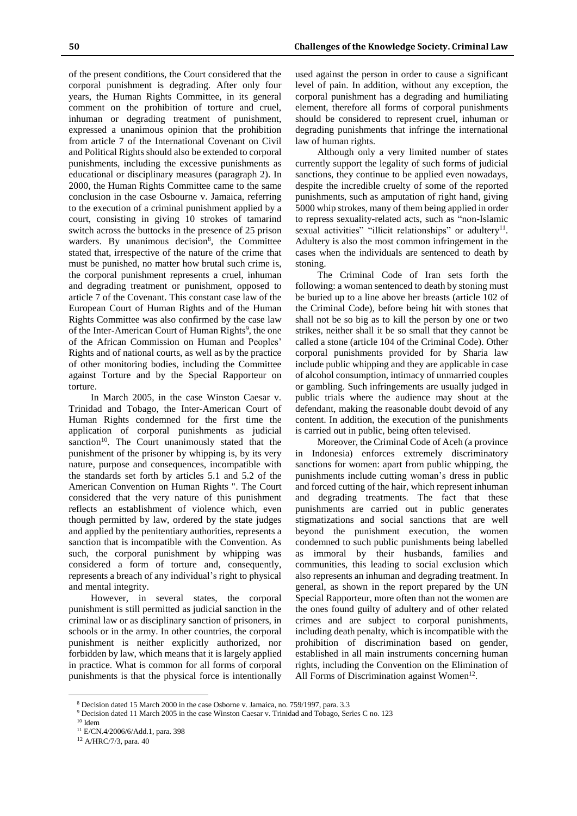of the present conditions, the Court considered that the corporal punishment is degrading. After only four years, the Human Rights Committee, in its general comment on the prohibition of torture and cruel, inhuman or degrading treatment of punishment, expressed a unanimous opinion that the prohibition from article 7 of the International Covenant on Civil and Political Rights should also be extended to corporal punishments, including the excessive punishments as educational or disciplinary measures (paragraph 2). In 2000, the Human Rights Committee came to the same conclusion in the case Osbourne v. Jamaica, referring to the execution of a criminal punishment applied by a court, consisting in giving 10 strokes of tamarind switch across the buttocks in the presence of 25 prison warders. By unanimous decision<sup>8</sup>, the Committee stated that, irrespective of the nature of the crime that must be punished, no matter how brutal such crime is, the corporal punishment represents a cruel, inhuman and degrading treatment or punishment, opposed to article 7 of the Covenant. This constant case law of the European Court of Human Rights and of the Human Rights Committee was also confirmed by the case law of the Inter-American Court of Human Rights<sup>9</sup>, the one of the African Commission on Human and Peoples' Rights and of national courts, as well as by the practice of other monitoring bodies, including the Committee against Torture and by the Special Rapporteur on torture.

In March 2005, in the case Winston Caesar v. Trinidad and Tobago, the Inter-American Court of Human Rights condemned for the first time the application of corporal punishments as judicial sanction<sup>10</sup>. The Court unanimously stated that the punishment of the prisoner by whipping is, by its very nature, purpose and consequences, incompatible with the standards set forth by articles 5.1 and 5.2 of the American Convention on Human Rights ". The Court considered that the very nature of this punishment reflects an establishment of violence which, even though permitted by law, ordered by the state judges and applied by the penitentiary authorities, represents a sanction that is incompatible with the Convention. As such, the corporal punishment by whipping was considered a form of torture and, consequently, represents a breach of any individual's right to physical and mental integrity.

However, in several states, the corporal punishment is still permitted as judicial sanction in the criminal law or as disciplinary sanction of prisoners, in schools or in the army. In other countries, the corporal punishment is neither explicitly authorized, nor forbidden by law, which means that it is largely applied in practice. What is common for all forms of corporal punishments is that the physical force is intentionally used against the person in order to cause a significant level of pain. In addition, without any exception, the corporal punishment has a degrading and humiliating element, therefore all forms of corporal punishments should be considered to represent cruel, inhuman or degrading punishments that infringe the international law of human rights.

Although only a very limited number of states currently support the legality of such forms of judicial sanctions, they continue to be applied even nowadays, despite the incredible cruelty of some of the reported punishments, such as amputation of right hand, giving 5000 whip strokes, many of them being applied in order to repress sexuality-related acts, such as "non-Islamic sexual activities" "illicit relationships" or adultery<sup>11</sup>. Adultery is also the most common infringement in the cases when the individuals are sentenced to death by stoning.

The Criminal Code of Iran sets forth the following: a woman sentenced to death by stoning must be buried up to a line above her breasts (article 102 of the Criminal Code), before being hit with stones that shall not be so big as to kill the person by one or two strikes, neither shall it be so small that they cannot be called a stone (article 104 of the Criminal Code). Other corporal punishments provided for by Sharia law include public whipping and they are applicable in case of alcohol consumption, intimacy of unmarried couples or gambling. Such infringements are usually judged in public trials where the audience may shout at the defendant, making the reasonable doubt devoid of any content. In addition, the execution of the punishments is carried out in public, being often televised.

Moreover, the Criminal Code of Aceh (a province in Indonesia) enforces extremely discriminatory sanctions for women: apart from public whipping, the punishments include cutting woman's dress in public and forced cutting of the hair, which represent inhuman and degrading treatments. The fact that these punishments are carried out in public generates stigmatizations and social sanctions that are well beyond the punishment execution, the women condemned to such public punishments being labelled as immoral by their husbands, families and communities, this leading to social exclusion which also represents an inhuman and degrading treatment. In general, as shown in the report prepared by the UN Special Rapporteur, more often than not the women are the ones found guilty of adultery and of other related crimes and are subject to corporal punishments, including death penalty, which is incompatible with the prohibition of discrimination based on gender, established in all main instruments concerning human rights, including the Convention on the Elimination of All Forms of Discrimination against Women<sup>12</sup>.

<sup>8</sup> Decision dated 15 March 2000 in the case Osborne v. Jamaica, no. 759/1997, para. 3.3

<sup>9</sup> Decision dated 11 March 2005 in the case Winston Caesar v. Trinidad and Tobago, Series C no. 123

 $10$  Idem

<sup>11</sup> E/CN.4/2006/6/Add.1, para. 398

<sup>12</sup> A/HRC/7/3, para. 40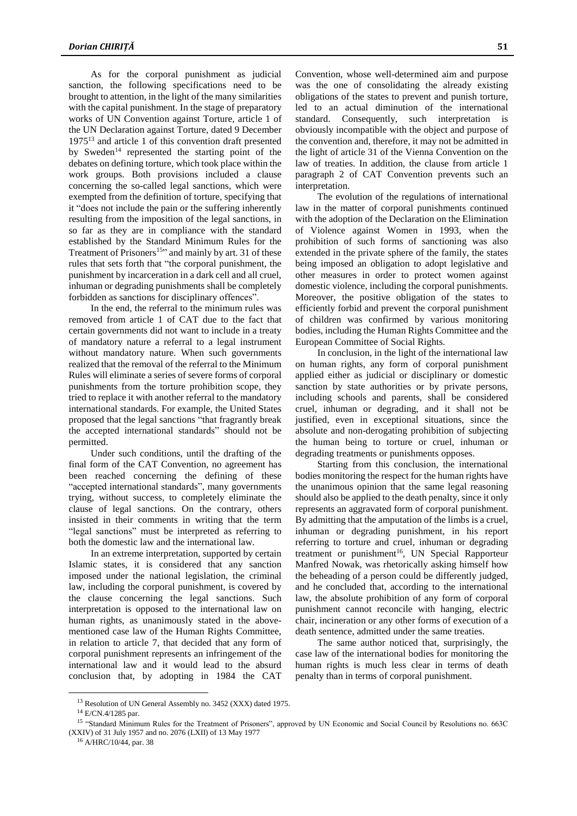As for the corporal punishment as judicial sanction, the following specifications need to be brought to attention, in the light of the many similarities with the capital punishment. In the stage of preparatory works of UN Convention against Torture, article 1 of the UN Declaration against Torture, dated 9 December 1975<sup>13</sup> and article 1 of this convention draft presented by Sweden<sup>14</sup> represented the starting point of the debates on defining torture, which took place within the work groups. Both provisions included a clause concerning the so-called legal sanctions, which were exempted from the definition of torture, specifying that it "does not include the pain or the suffering inherently resulting from the imposition of the legal sanctions, in so far as they are in compliance with the standard established by the Standard Minimum Rules for the Treatment of Prisoners<sup>15</sup><sup>2</sup> and mainly by art. 31 of these rules that sets forth that "the corporal punishment, the punishment by incarceration in a dark cell and all cruel, inhuman or degrading punishments shall be completely forbidden as sanctions for disciplinary offences".

In the end, the referral to the minimum rules was removed from article 1 of CAT due to the fact that certain governments did not want to include in a treaty of mandatory nature a referral to a legal instrument without mandatory nature. When such governments realized that the removal of the referral to the Minimum Rules will eliminate a series of severe forms of corporal punishments from the torture prohibition scope, they tried to replace it with another referral to the mandatory international standards. For example, the United States proposed that the legal sanctions "that fragrantly break the accepted international standards" should not be permitted.

Under such conditions, until the drafting of the final form of the CAT Convention, no agreement has been reached concerning the defining of these "accepted international standards", many governments trying, without success, to completely eliminate the clause of legal sanctions. On the contrary, others insisted in their comments in writing that the term "legal sanctions" must be interpreted as referring to both the domestic law and the international law.

In an extreme interpretation, supported by certain Islamic states, it is considered that any sanction imposed under the national legislation, the criminal law, including the corporal punishment, is covered by the clause concerning the legal sanctions. Such interpretation is opposed to the international law on human rights, as unanimously stated in the abovementioned case law of the Human Rights Committee, in relation to article 7, that decided that any form of corporal punishment represents an infringement of the international law and it would lead to the absurd conclusion that, by adopting in 1984 the CAT Convention, whose well-determined aim and purpose was the one of consolidating the already existing obligations of the states to prevent and punish torture, led to an actual diminution of the international standard. Consequently, such interpretation is obviously incompatible with the object and purpose of the convention and, therefore, it may not be admitted in the light of article 31 of the Vienna Convention on the law of treaties. In addition, the clause from article 1 paragraph 2 of CAT Convention prevents such an interpretation.

The evolution of the regulations of international law in the matter of corporal punishments continued with the adoption of the Declaration on the Elimination of Violence against Women in 1993, when the prohibition of such forms of sanctioning was also extended in the private sphere of the family, the states being imposed an obligation to adopt legislative and other measures in order to protect women against domestic violence, including the corporal punishments. Moreover, the positive obligation of the states to efficiently forbid and prevent the corporal punishment of children was confirmed by various monitoring bodies, including the Human Rights Committee and the European Committee of Social Rights.

In conclusion, in the light of the international law on human rights, any form of corporal punishment applied either as judicial or disciplinary or domestic sanction by state authorities or by private persons, including schools and parents, shall be considered cruel, inhuman or degrading, and it shall not be justified, even in exceptional situations, since the absolute and non-derogating prohibition of subjecting the human being to torture or cruel, inhuman or degrading treatments or punishments opposes.

Starting from this conclusion, the international bodies monitoring the respect for the human rights have the unanimous opinion that the same legal reasoning should also be applied to the death penalty, since it only represents an aggravated form of corporal punishment. By admitting that the amputation of the limbs is a cruel, inhuman or degrading punishment, in his report referring to torture and cruel, inhuman or degrading treatment or punishment<sup>16</sup>, UN Special Rapporteur Manfred Nowak, was rhetorically asking himself how the beheading of a person could be differently judged, and he concluded that, according to the international law, the absolute prohibition of any form of corporal punishment cannot reconcile with hanging, electric chair, incineration or any other forms of execution of a death sentence, admitted under the same treaties.

The same author noticed that, surprisingly, the case law of the international bodies for monitoring the human rights is much less clear in terms of death penalty than in terms of corporal punishment.

<sup>&</sup>lt;sup>13</sup> Resolution of UN General Assembly no. 3452 (XXX) dated 1975.

<sup>14</sup> E/CN.4/1285 par.

<sup>&</sup>lt;sup>15</sup> "Standard Minimum Rules for the Treatment of Prisoners", approved by UN Economic and Social Council by Resolutions no. 663C (XXIV) of 31 July 1957 and no. 2076 (LXII) of 13 May 1977

<sup>16</sup> A/HRC/10/44, par. 38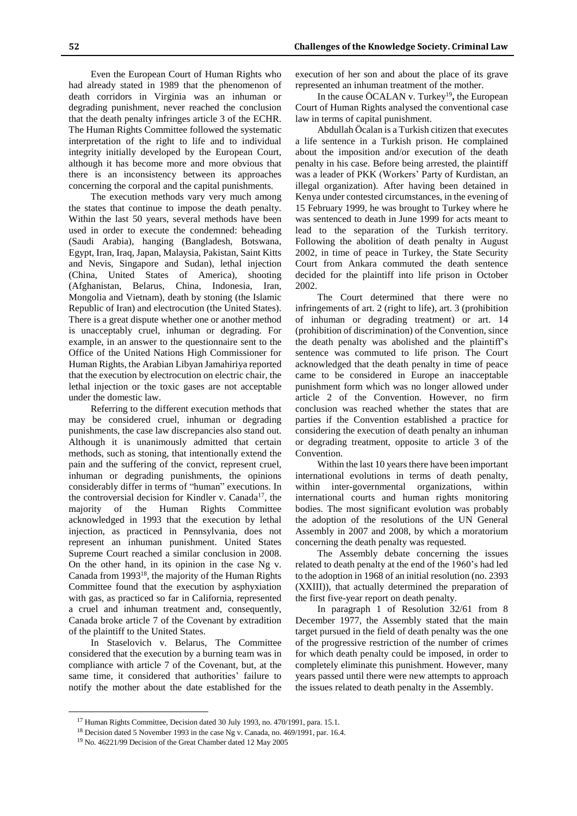Even the European Court of Human Rights who had already stated in 1989 that the phenomenon of death corridors in Virginia was an inhuman or degrading punishment, never reached the conclusion that the death penalty infringes article 3 of the ECHR. The Human Rights Committee followed the systematic interpretation of the right to life and to individual integrity initially developed by the European Court, although it has become more and more obvious that there is an inconsistency between its approaches concerning the corporal and the capital punishments.

The execution methods vary very much among the states that continue to impose the death penalty. Within the last 50 years, several methods have been used in order to execute the condemned: beheading (Saudi Arabia), hanging (Bangladesh, Botswana, Egypt, Iran, Iraq, Japan, Malaysia, Pakistan, Saint Kitts and Nevis, Singapore and Sudan), lethal injection (China, United States of America), shooting (Afghanistan, Belarus, China, Indonesia, Iran, Mongolia and Vietnam), death by stoning (the Islamic Republic of Iran) and electrocution (the United States). There is a great dispute whether one or another method is unacceptably cruel, inhuman or degrading. For example, in an answer to the questionnaire sent to the Office of the United Nations High Commissioner for Human Rights, the Arabian Libyan Jamahiriya reported that the execution by electrocution on electric chair, the lethal injection or the toxic gases are not acceptable under the domestic law.

Referring to the different execution methods that may be considered cruel, inhuman or degrading punishments, the case law discrepancies also stand out. Although it is unanimously admitted that certain methods, such as stoning, that intentionally extend the pain and the suffering of the convict, represent cruel, inhuman or degrading punishments, the opinions considerably differ in terms of "human" executions. In the controversial decision for Kindler v. Canada<sup>17</sup>, the majority of the Human Rights Committee acknowledged in 1993 that the execution by lethal injection, as practiced in Pennsylvania, does not represent an inhuman punishment. United States Supreme Court reached a similar conclusion in 2008. On the other hand, in its opinion in the case Ng v. Canada from 1993<sup>18</sup>, the majority of the Human Rights Committee found that the execution by asphyxiation with gas, as practiced so far in California, represented a cruel and inhuman treatment and, consequently, Canada broke article 7 of the Covenant by extradition of the plaintiff to the United States.

In Staselovich v. Belarus, The Committee considered that the execution by a burning team was in compliance with article 7 of the Covenant, but, at the same time, it considered that authorities' failure to notify the mother about the date established for the

 $\overline{a}$ 

execution of her son and about the place of its grave represented an inhuman treatment of the mother.

In the cause ÖCALAN v. Turkey<sup>19</sup>, the European Court of Human Rights analysed the conventional case law in terms of capital punishment.

Abdullah Öcalan is a Turkish citizen that executes a life sentence in a Turkish prison. He complained about the imposition and/or execution of the death penalty in his case. Before being arrested, the plaintiff was a leader of PKK (Workers' Party of Kurdistan, an illegal organization). After having been detained in Kenya under contested circumstances, in the evening of 15 February 1999, he was brought to Turkey where he was sentenced to death in June 1999 for acts meant to lead to the separation of the Turkish territory. Following the abolition of death penalty in August 2002, in time of peace in Turkey, the State Security Court from Ankara commuted the death sentence decided for the plaintiff into life prison in October 2002.

The Court determined that there were no infringements of art. 2 (right to life), art. 3 (prohibition of inhuman or degrading treatment) or art. 14 (prohibition of discrimination) of the Convention, since the death penalty was abolished and the plaintiff's sentence was commuted to life prison. The Court acknowledged that the death penalty in time of peace came to be considered in Europe an inacceptable punishment form which was no longer allowed under article 2 of the Convention. However, no firm conclusion was reached whether the states that are parties if the Convention established a practice for considering the execution of death penalty an inhuman or degrading treatment, opposite to article 3 of the Convention.

Within the last 10 years there have been important international evolutions in terms of death penalty, within inter-governmental organizations, within international courts and human rights monitoring bodies. The most significant evolution was probably the adoption of the resolutions of the UN General Assembly in 2007 and 2008, by which a moratorium concerning the death penalty was requested.

The Assembly debate concerning the issues related to death penalty at the end of the 1960's had led to the adoption in 1968 of an initial resolution (no. 2393 (XXIII)), that actually determined the preparation of the first five-year report on death penalty.

In paragraph 1 of Resolution 32/61 from 8 December 1977, the Assembly stated that the main target pursued in the field of death penalty was the one of the progressive restriction of the number of crimes for which death penalty could be imposed, in order to completely eliminate this punishment. However, many years passed until there were new attempts to approach the issues related to death penalty in the Assembly.

<sup>&</sup>lt;sup>17</sup> Human Rights Committee, Decision dated 30 July 1993, no. 470/1991, para. 15.1.

<sup>18</sup> Decision dated 5 November 1993 in the case Ng v. Canada, no. 469/1991, par. 16.4.

<sup>19</sup> No. 46221/99 Decision of the Great Chamber dated 12 May 2005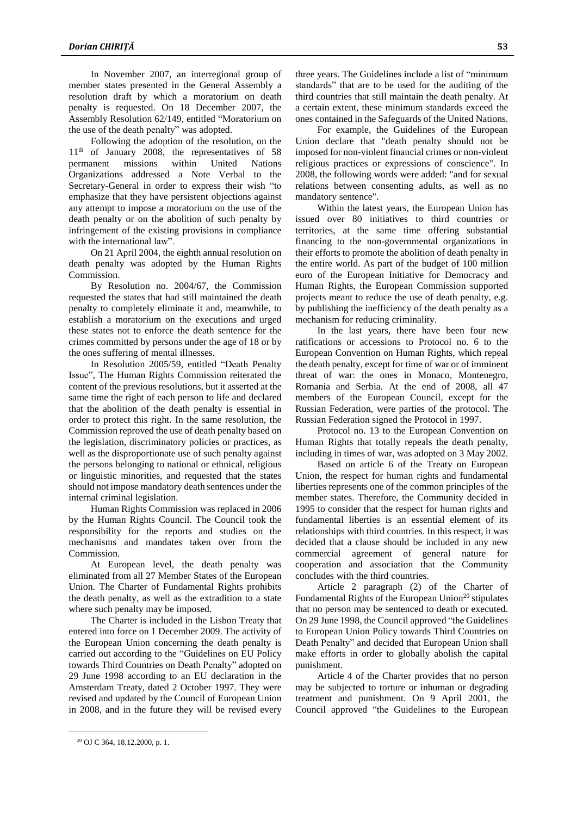In November 2007, an interregional group of member states presented in the General Assembly a resolution draft by which a moratorium on death penalty is requested. On 18 December 2007, the Assembly Resolution 62/149, entitled "Moratorium on the use of the death penalty" was adopted.

Following the adoption of the resolution, on the 11<sup>th</sup> of January 2008, the representatives of 58 permanent missions within United Nations Organizations addressed a Note Verbal to the Secretary-General in order to express their wish "to emphasize that they have persistent objections against any attempt to impose a moratorium on the use of the death penalty or on the abolition of such penalty by infringement of the existing provisions in compliance with the international law".

On 21 April 2004, the eighth annual resolution on death penalty was adopted by the Human Rights Commission.

By Resolution no. 2004/67, the Commission requested the states that had still maintained the death penalty to completely eliminate it and, meanwhile, to establish a moratorium on the executions and urged these states not to enforce the death sentence for the crimes committed by persons under the age of 18 or by the ones suffering of mental illnesses.

In Resolution 2005/59, entitled "Death Penalty Issue", The Human Rights Commission reiterated the content of the previous resolutions, but it asserted at the same time the right of each person to life and declared that the abolition of the death penalty is essential in order to protect this right. In the same resolution, the Commission reproved the use of death penalty based on the legislation, discriminatory policies or practices, as well as the disproportionate use of such penalty against the persons belonging to national or ethnical, religious or linguistic minorities, and requested that the states should not impose mandatory death sentences under the internal criminal legislation.

Human Rights Commission was replaced in 2006 by the Human Rights Council. The Council took the responsibility for the reports and studies on the mechanisms and mandates taken over from the Commission.

At European level, the death penalty was eliminated from all 27 Member States of the European Union. The Charter of Fundamental Rights prohibits the death penalty, as well as the extradition to a state where such penalty may be imposed.

The Charter is included in the Lisbon Treaty that entered into force on 1 December 2009. The activity of the European Union concerning the death penalty is carried out according to the "Guidelines on EU Policy towards Third Countries on Death Penalty" adopted on 29 June 1998 according to an EU declaration in the Amsterdam Treaty, dated 2 October 1997. They were revised and updated by the Council of European Union in 2008, and in the future they will be revised every three years. The Guidelines include a list of "minimum standards" that are to be used for the auditing of the third countries that still maintain the death penalty. At a certain extent, these minimum standards exceed the ones contained in the Safeguards of the United Nations.

For example, the Guidelines of the European Union declare that "death penalty should not be imposed for non-violent financial crimes or non-violent religious practices or expressions of conscience". In 2008, the following words were added: "and for sexual relations between consenting adults, as well as no mandatory sentence".

Within the latest years, the European Union has issued over 80 initiatives to third countries or territories, at the same time offering substantial financing to the non-governmental organizations in their efforts to promote the abolition of death penalty in the entire world. As part of the budget of 100 million euro of the European Initiative for Democracy and Human Rights, the European Commission supported projects meant to reduce the use of death penalty, e.g. by publishing the inefficiency of the death penalty as a mechanism for reducing criminality.

In the last years, there have been four new ratifications or accessions to Protocol no. 6 to the European Convention on Human Rights, which repeal the death penalty, except for time of war or of imminent threat of war: the ones in Monaco, Montenegro, Romania and Serbia. At the end of 2008, all 47 members of the European Council, except for the Russian Federation, were parties of the protocol. The Russian Federation signed the Protocol in 1997.

Protocol no. 13 to the European Convention on Human Rights that totally repeals the death penalty, including in times of war, was adopted on 3 May 2002.

Based on article 6 of the Treaty on European Union, the respect for human rights and fundamental liberties represents one of the common principles of the member states. Therefore, the Community decided in 1995 to consider that the respect for human rights and fundamental liberties is an essential element of its relationships with third countries. In this respect, it was decided that a clause should be included in any new commercial agreement of general nature for cooperation and association that the Community concludes with the third countries.

Article 2 paragraph (2) of the Charter of Fundamental Rights of the European Union<sup>20</sup> stipulates that no person may be sentenced to death or executed. On 29 June 1998, the Council approved "the Guidelines to European Union Policy towards Third Countries on Death Penalty" and decided that European Union shall make efforts in order to globally abolish the capital punishment.

Article 4 of the Charter provides that no person may be subjected to torture or inhuman or degrading treatment and punishment. On 9 April 2001, the Council approved "the Guidelines to the European

<sup>20</sup> OJ C 364, 18.12.2000, p. 1.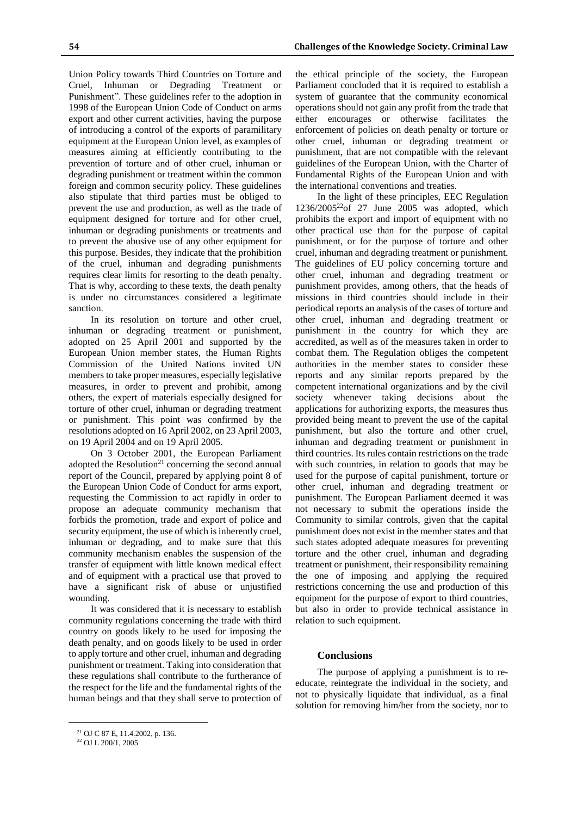Union Policy towards Third Countries on Torture and Cruel, Inhuman or Degrading Treatment or Punishment". These guidelines refer to the adoption in 1998 of the European Union Code of Conduct on arms export and other current activities, having the purpose of introducing a control of the exports of paramilitary equipment at the European Union level, as examples of measures aiming at efficiently contributing to the prevention of torture and of other cruel, inhuman or degrading punishment or treatment within the common foreign and common security policy. These guidelines also stipulate that third parties must be obliged to prevent the use and production, as well as the trade of equipment designed for torture and for other cruel, inhuman or degrading punishments or treatments and to prevent the abusive use of any other equipment for this purpose. Besides, they indicate that the prohibition of the cruel, inhuman and degrading punishments requires clear limits for resorting to the death penalty. That is why, according to these texts, the death penalty is under no circumstances considered a legitimate sanction.

In its resolution on torture and other cruel, inhuman or degrading treatment or punishment, adopted on 25 April 2001 and supported by the European Union member states, the Human Rights Commission of the United Nations invited UN members to take proper measures, especially legislative measures, in order to prevent and prohibit, among others, the expert of materials especially designed for torture of other cruel, inhuman or degrading treatment or punishment. This point was confirmed by the resolutions adopted on 16 April 2002, on 23 April 2003, on 19 April 2004 and on 19 April 2005.

On 3 October 2001, the European Parliament adopted the Resolution<sup>21</sup> concerning the second annual report of the Council, prepared by applying point 8 of the European Union Code of Conduct for arms export, requesting the Commission to act rapidly in order to propose an adequate community mechanism that forbids the promotion, trade and export of police and security equipment, the use of which is inherently cruel, inhuman or degrading, and to make sure that this community mechanism enables the suspension of the transfer of equipment with little known medical effect and of equipment with a practical use that proved to have a significant risk of abuse or unjustified wounding.

It was considered that it is necessary to establish community regulations concerning the trade with third country on goods likely to be used for imposing the death penalty, and on goods likely to be used in order to apply torture and other cruel, inhuman and degrading punishment or treatment. Taking into consideration that these regulations shall contribute to the furtherance of the respect for the life and the fundamental rights of the human beings and that they shall serve to protection of the ethical principle of the society, the European Parliament concluded that it is required to establish a system of guarantee that the community economical operations should not gain any profit from the trade that either encourages or otherwise facilitates the enforcement of policies on death penalty or torture or other cruel, inhuman or degrading treatment or punishment, that are not compatible with the relevant guidelines of the European Union, with the Charter of Fundamental Rights of the European Union and with the international conventions and treaties.

In the light of these principles, EEC Regulation  $1236/2005^{22}$ of 27 June 2005 was adopted, which prohibits the export and import of equipment with no other practical use than for the purpose of capital punishment, or for the purpose of torture and other cruel, inhuman and degrading treatment or punishment. The guidelines of EU policy concerning torture and other cruel, inhuman and degrading treatment or punishment provides, among others, that the heads of missions in third countries should include in their periodical reports an analysis of the cases of torture and other cruel, inhuman and degrading treatment or punishment in the country for which they are accredited, as well as of the measures taken in order to combat them. The Regulation obliges the competent authorities in the member states to consider these reports and any similar reports prepared by the competent international organizations and by the civil society whenever taking decisions about the applications for authorizing exports, the measures thus provided being meant to prevent the use of the capital punishment, but also the torture and other cruel, inhuman and degrading treatment or punishment in third countries. Its rules contain restrictions on the trade with such countries, in relation to goods that may be used for the purpose of capital punishment, torture or other cruel, inhuman and degrading treatment or punishment. The European Parliament deemed it was not necessary to submit the operations inside the Community to similar controls, given that the capital punishment does not exist in the member states and that such states adopted adequate measures for preventing torture and the other cruel, inhuman and degrading treatment or punishment, their responsibility remaining the one of imposing and applying the required restrictions concerning the use and production of this equipment for the purpose of export to third countries, but also in order to provide technical assistance in relation to such equipment.

#### **Conclusions**

The purpose of applying a punishment is to reeducate, reintegrate the individual in the society, and not to physically liquidate that individual, as a final solution for removing him/her from the society, nor to

<sup>21</sup> OJ C 87 E, 11.4.2002, p. 136.

<sup>22</sup> OJ L 200/1, 2005